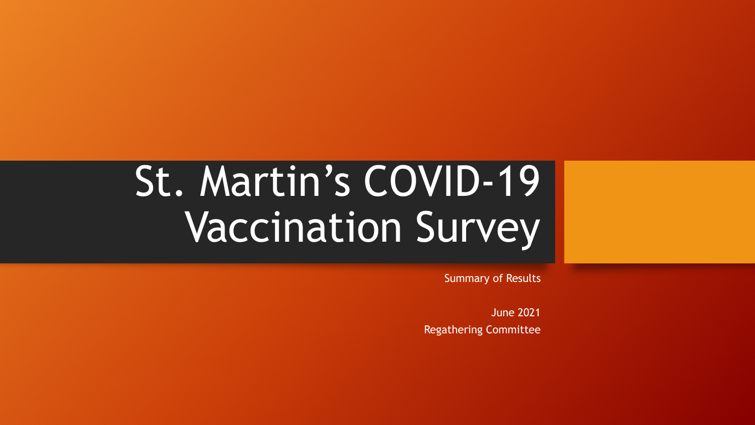# St. Martin's COVID-19 Vaccination Survey

Summary of Results

June 2021 Regathering Committee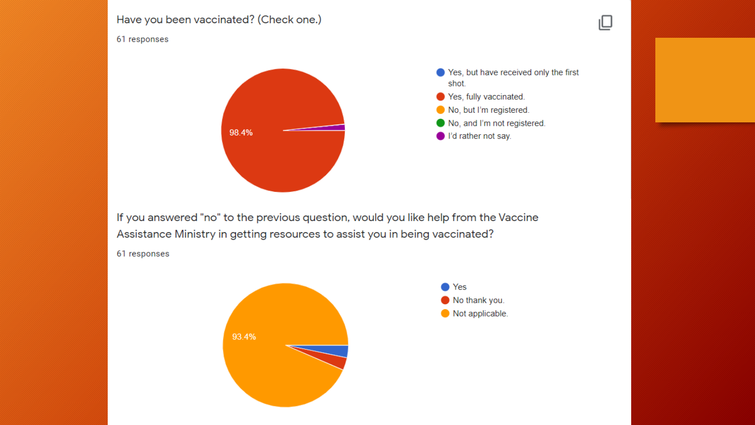### Have you been vaccinated? (Check one.)

#### 61 responses



Yes, but have received only the first shot.

ℚ

- Yes, fully vaccinated. No, but I'm registered. No, and I'm not registered.
- I'd rather not say.

If you answered "no" to the previous question, would you like help from the Vaccine Assistance Ministry in getting resources to assist you in being vaccinated?

61 responses

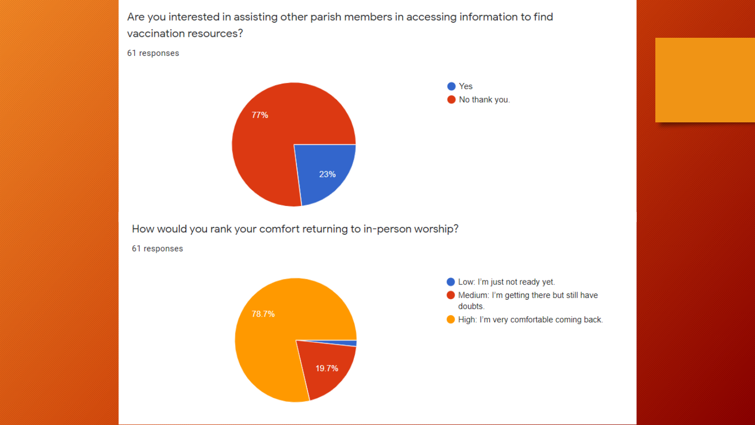Are you interested in assisting other parish members in accessing information to find vaccination resources?

#### 61 responses



How would you rank your comfort returning to in-person worship?

61 responses



Low: I'm just not ready yet.

- Medium: I'm getting there but still have doubts.
- High: I'm very comfortable coming back.